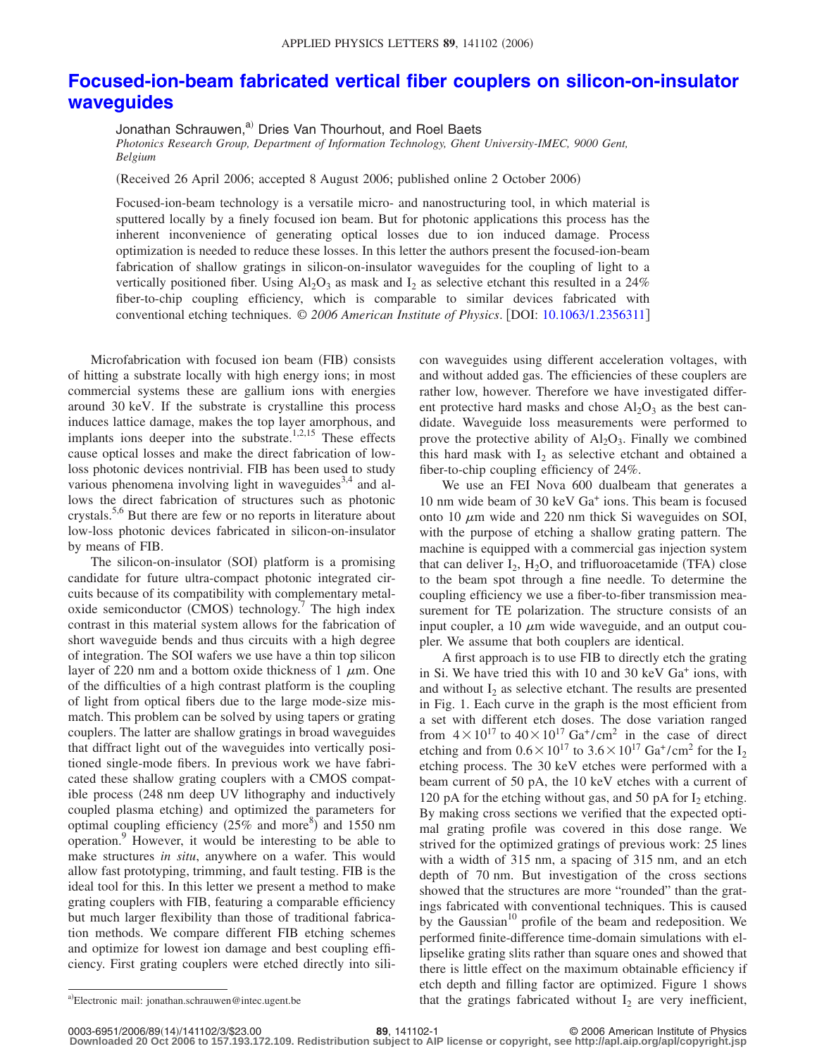## **[Focused-ion-beam fabricated vertical fiber couplers on silicon-on-insulator](http://dx.doi.org/10.1063/1.2356311) [waveguides](http://dx.doi.org/10.1063/1.2356311)**

Jonathan Schrauwen,<sup>a)</sup> Dries Van Thourhout, and Roel Baets

*Photonics Research Group, Department of Information Technology, Ghent University-IMEC, 9000 Gent, Belgium*

Received 26 April 2006; accepted 8 August 2006; published online 2 October 2006-

Focused-ion-beam technology is a versatile micro- and nanostructuring tool, in which material is sputtered locally by a finely focused ion beam. But for photonic applications this process has the inherent inconvenience of generating optical losses due to ion induced damage. Process optimization is needed to reduce these losses. In this letter the authors present the focused-ion-beam fabrication of shallow gratings in silicon-on-insulator waveguides for the coupling of light to a vertically positioned fiber. Using  $A_1O_3$  as mask and  $I_2$  as selective etchant this resulted in a 24% fiber-to-chip coupling efficiency, which is comparable to similar devices fabricated with conventional etching techniques. © *2006 American Institute of Physics*. DOI: [10.1063/1.2356311](http://dx.doi.org/10.1063/1.2356311)

Microfabrication with focused ion beam (FIB) consists of hitting a substrate locally with high energy ions; in most commercial systems these are gallium ions with energies around 30 keV. If the substrate is crystalline this process induces lattice damage, makes the top layer amorphous, and implants ions deeper into the substrate.<sup>1,2,15</sup> These effects cause optical losses and make the direct fabrication of lowloss photonic devices nontrivial. FIB has been used to study various phenomena involving light in waveguides<sup>3,4</sup> and allows the direct fabrication of structures such as photonic crystals.5,6 But there are few or no reports in literature about low-loss photonic devices fabricated in silicon-on-insulator by means of FIB.

The silicon-on-insulator (SOI) platform is a promising candidate for future ultra-compact photonic integrated circuits because of its compatibility with complementary metaloxide semiconductor (CMOS) technology.<sup>7</sup> The high index contrast in this material system allows for the fabrication of short waveguide bends and thus circuits with a high degree of integration. The SOI wafers we use have a thin top silicon layer of 220 nm and a bottom oxide thickness of 1  $\mu$ m. One of the difficulties of a high contrast platform is the coupling of light from optical fibers due to the large mode-size mismatch. This problem can be solved by using tapers or grating couplers. The latter are shallow gratings in broad waveguides that diffract light out of the waveguides into vertically positioned single-mode fibers. In previous work we have fabricated these shallow grating couplers with a CMOS compatible process 248 nm deep UV lithography and inductively coupled plasma etching) and optimized the parameters for optimal coupling efficiency  $(25\%$  and more<sup>8</sup>) and 1550 nm operation.<sup>9</sup> However, it would be interesting to be able to make structures *in situ*, anywhere on a wafer. This would allow fast prototyping, trimming, and fault testing. FIB is the ideal tool for this. In this letter we present a method to make grating couplers with FIB, featuring a comparable efficiency but much larger flexibility than those of traditional fabrication methods. We compare different FIB etching schemes and optimize for lowest ion damage and best coupling efficiency. First grating couplers were etched directly into silicon waveguides using different acceleration voltages, with and without added gas. The efficiencies of these couplers are rather low, however. Therefore we have investigated different protective hard masks and chose  $Al_2O_3$  as the best candidate. Waveguide loss measurements were performed to prove the protective ability of  $Al_2O_3$ . Finally we combined this hard mask with  $I_2$  as selective etchant and obtained a fiber-to-chip coupling efficiency of 24%.

We use an FEI Nova 600 dualbeam that generates a 10 nm wide beam of 30 keV Ga+ ions. This beam is focused onto 10  $\mu$ m wide and 220 nm thick Si waveguides on SOI, with the purpose of etching a shallow grating pattern. The machine is equipped with a commercial gas injection system that can deliver  $I_2$ ,  $H_2O$ , and trifluoroacetamide (TFA) close to the beam spot through a fine needle. To determine the coupling efficiency we use a fiber-to-fiber transmission measurement for TE polarization. The structure consists of an input coupler, a 10  $\mu$ m wide waveguide, and an output coupler. We assume that both couplers are identical.

A first approach is to use FIB to directly etch the grating in Si. We have tried this with 10 and 30 keV Ga<sup>+</sup> ions, with and without  $I_2$  as selective etchant. The results are presented in Fig. 1. Each curve in the graph is the most efficient from a set with different etch doses. The dose variation ranged from  $4 \times 10^{17}$  to  $40 \times 10^{17}$  Ga<sup>+</sup>/cm<sup>2</sup> in the case of direct etching and from  $0.6 \times 10^{17}$  to  $3.6 \times 10^{17}$  Ga<sup>+</sup>/cm<sup>2</sup> for the I<sub>2</sub> etching process. The 30 keV etches were performed with a beam current of 50 pA, the 10 keV etches with a current of 120 pA for the etching without gas, and 50 pA for  $I_2$  etching. By making cross sections we verified that the expected optimal grating profile was covered in this dose range. We strived for the optimized gratings of previous work: 25 lines with a width of 315 nm, a spacing of 315 nm, and an etch depth of 70 nm. But investigation of the cross sections showed that the structures are more "rounded" than the gratings fabricated with conventional techniques. This is caused by the Gaussian<sup>10</sup> profile of the beam and redeposition. We performed finite-difference time-domain simulations with ellipselike grating slits rather than square ones and showed that there is little effect on the maximum obtainable efficiency if etch depth and filling factor are optimized. Figure 1 shows that the gratings fabricated without  $I_2$  are very inefficient,

Electronic mail: jonathan.schrauwen@intec.ugent.be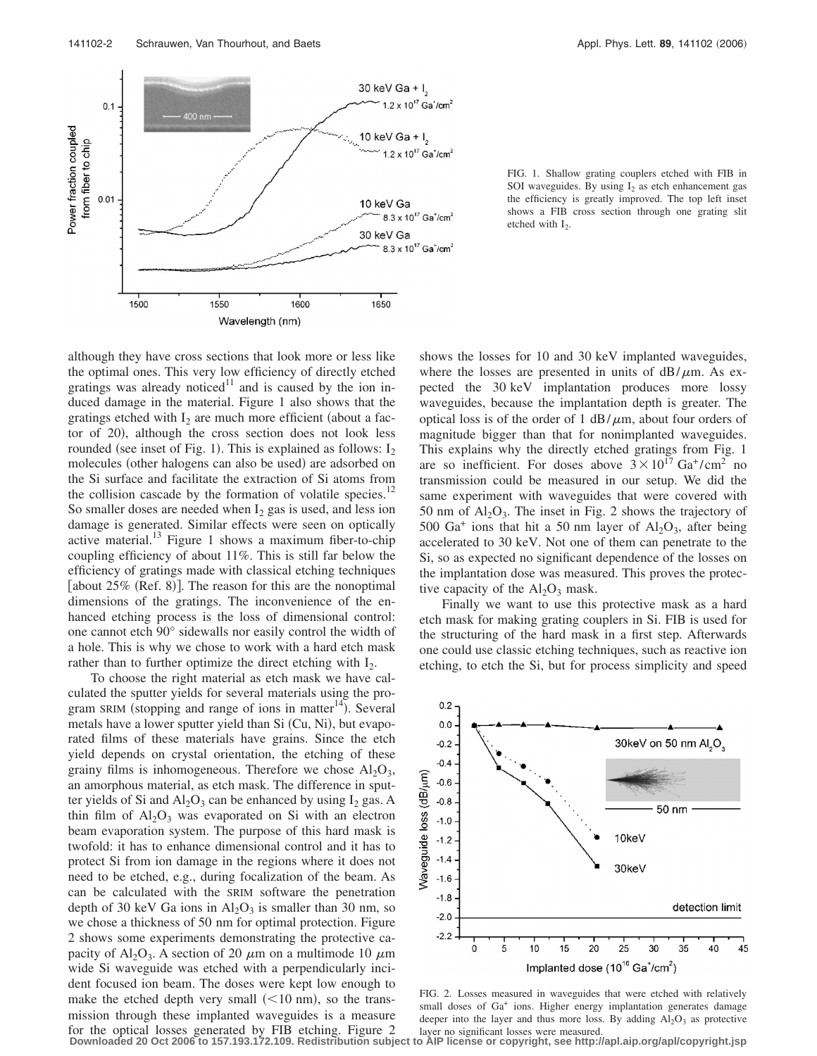

FIG. 1. Shallow grating couplers etched with FIB in SOI waveguides. By using  $I_2$  as etch enhancement gas the efficiency is greatly improved. The top left inset shows a FIB cross section through one grating slit etched with  $I_2$ .

although they have cross sections that look more or less like the optimal ones. This very low efficiency of directly etched gratings was already noticed $11$  and is caused by the ion induced damage in the material. Figure 1 also shows that the gratings etched with  $I_2$  are much more efficient (about a factor of 20), although the cross section does not look less rounded (see inset of Fig. 1). This is explained as follows:  $I_2$ molecules (other halogens can also be used) are adsorbed on the Si surface and facilitate the extraction of Si atoms from the collision cascade by the formation of volatile species.<sup>12</sup> So smaller doses are needed when  $I_2$  gas is used, and less ion damage is generated. Similar effects were seen on optically active material. $^{13}$  Figure 1 shows a maximum fiber-to-chip coupling efficiency of about 11%. This is still far below the efficiency of gratings made with classical etching techniques [about 25% (Ref. 8)]. The reason for this are the nonoptimal dimensions of the gratings. The inconvenience of the enhanced etching process is the loss of dimensional control: one cannot etch 90° sidewalls nor easily control the width of a hole. This is why we chose to work with a hard etch mask rather than to further optimize the direct etching with  $I_2$ .

To choose the right material as etch mask we have calculated the sputter yields for several materials using the program SRIM (stopping and range of ions in matter<sup>14</sup>). Several metals have a lower sputter yield than Si (Cu, Ni), but evaporated films of these materials have grains. Since the etch yield depends on crystal orientation, the etching of these grainy films is inhomogeneous. Therefore we chose  $Al_2O_3$ , an amorphous material, as etch mask. The difference in sputter yields of Si and  $Al_2O_3$  can be enhanced by using  $I_2$  gas. A thin film of  $Al_2O_3$  was evaporated on Si with an electron beam evaporation system. The purpose of this hard mask is twofold: it has to enhance dimensional control and it has to protect Si from ion damage in the regions where it does not need to be etched, e.g., during focalization of the beam. As can be calculated with the SRIM software the penetration depth of 30 keV Ga ions in  $Al_2O_3$  is smaller than 30 nm, so we chose a thickness of 50 nm for optimal protection. Figure 2 shows some experiments demonstrating the protective capacity of Al<sub>2</sub>O<sub>3</sub>. A section of 20  $\mu$ m on a multimode 10  $\mu$ m wide Si waveguide was etched with a perpendicularly incident focused ion beam. The doses were kept low enough to make the etched depth very small  $(< 10$  nm), so the transmission through these implanted waveguides is a measure for the optical losses generated by FIB etching. Figure 2

shows the losses for 10 and 30 keV implanted waveguides, where the losses are presented in units of  $dB/\mu m$ . As expected the 30 keV implantation produces more lossy waveguides, because the implantation depth is greater. The optical loss is of the order of 1  $dB/\mu m$ , about four orders of magnitude bigger than that for nonimplanted waveguides. This explains why the directly etched gratings from Fig. 1 are so inefficient. For doses above  $3 \times 10^{17}$  Ga<sup>+</sup>/cm<sup>2</sup> no transmission could be measured in our setup. We did the same experiment with waveguides that were covered with 50 nm of  $Al_2O_3$ . The inset in Fig. 2 shows the trajectory of 500 Ga<sup>+</sup> ions that hit a 50 nm layer of  $Al_2O_3$ , after being accelerated to 30 keV. Not one of them can penetrate to the Si, so as expected no significant dependence of the losses on the implantation dose was measured. This proves the protective capacity of the  $Al_2O_3$  mask.

Finally we want to use this protective mask as a hard etch mask for making grating couplers in Si. FIB is used for the structuring of the hard mask in a first step. Afterwards one could use classic etching techniques, such as reactive ion etching, to etch the Si, but for process simplicity and speed



FIG. 2. Losses measured in waveguides that were etched with relatively small doses of Ga<sup>+</sup> ions. Higher energy implantation generates damage deeper into the layer and thus more loss. By adding  $Al_2O_3$  as protective layer no significant losses were measured.

**Downloaded 20 Oct 2006 to 157.193.172.109. Redistribution subject to AIP license or copyright, see http://apl.aip.org/apl/copyright.jsp**